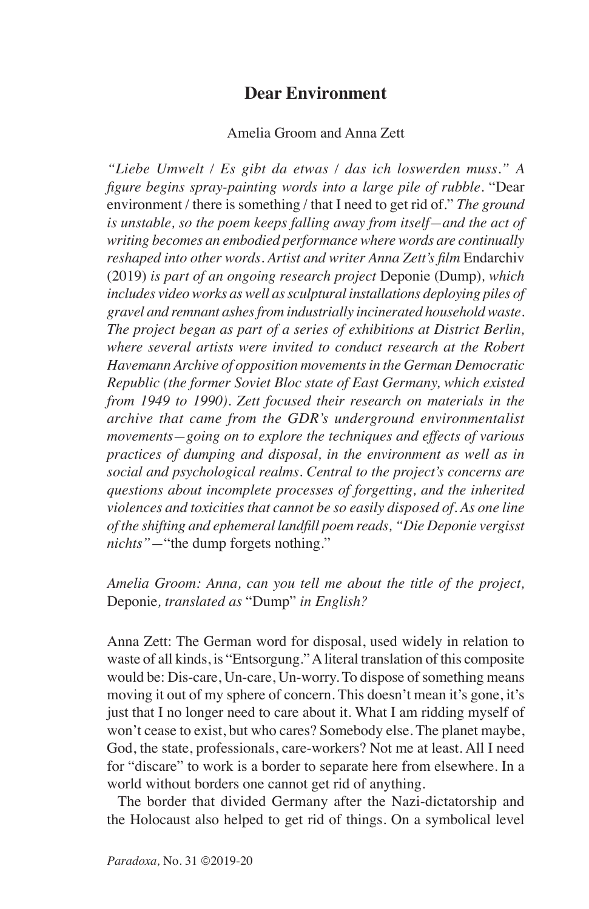## **Dear Environment**

## Amelia Groom and Anna Zett

*"Liebe Umwelt / Es gibt da etwas / das ich loswerden muss." A figure begins spray-painting words into a large pile of rubble.* "Dear environment / there is something / that I need to get rid of." *The ground is unstable, so the poem keeps falling away from itself—and the act of writing becomes an embodied performance where words are continually reshaped into other words. Artist and writer Anna Zett's film* Endarchiv (2019) *is part of an ongoing research project* Deponie (Dump)*, which includes video works as well as sculptural installations deploying piles of gravel and remnant ashes from industrially incinerated household waste. The project began as part of a series of exhibitions at District Berlin, where several artists were invited to conduct research at the Robert Havemann Archive of opposition movements in the German Democratic Republic (the former Soviet Bloc state of East Germany, which existed from 1949 to 1990). Zett focused their research on materials in the archive that came from the GDR's underground environmentalist movements—going on to explore the techniques and effects of various practices of dumping and disposal, in the environment as well as in social and psychological realms. Central to the project's concerns are questions about incomplete processes of forgetting, and the inherited violences and toxicities that cannot be so easily disposed of. As one line of the shifting and ephemeral landfill poem reads, "Die Deponie vergisst nichts"—*"the dump forgets nothing."

*Amelia Groom: Anna, can you tell me about the title of the project,*  Deponie*, translated as* "Dump" *in English?*

Anna Zett: The German word for disposal, used widely in relation to waste of all kinds, is "Entsorgung." A literal translation of this composite would be: Dis-care, Un-care, Un-worry. To dispose of something means moving it out of my sphere of concern. This doesn't mean it's gone, it's just that I no longer need to care about it. What I am ridding myself of won't cease to exist, but who cares? Somebody else. The planet maybe, God, the state, professionals, care-workers? Not me at least. All I need for "discare" to work is a border to separate here from elsewhere. In a world without borders one cannot get rid of anything.

The border that divided Germany after the Nazi-dictatorship and the Holocaust also helped to get rid of things. On a symbolical level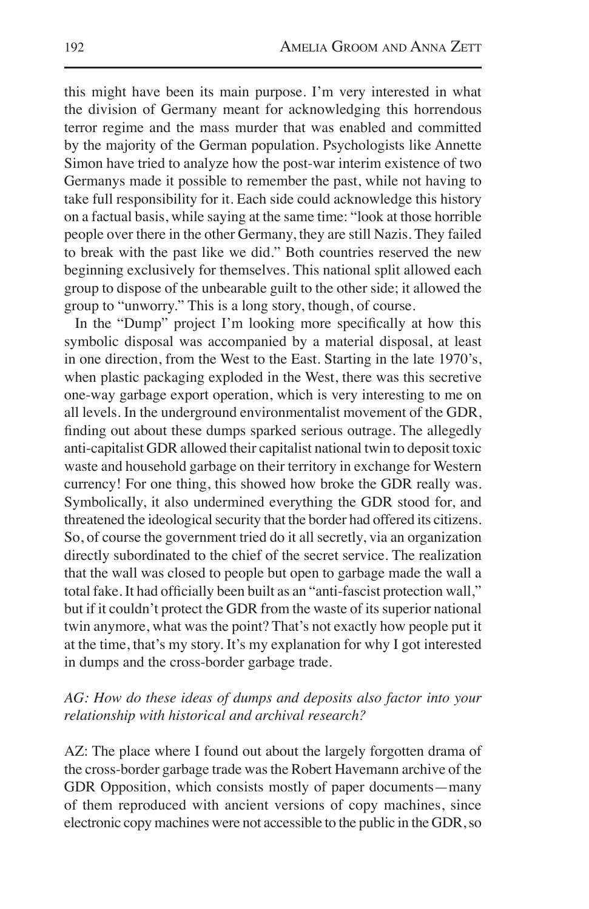this might have been its main purpose. I'm very interested in what the division of Germany meant for acknowledging this horrendous terror regime and the mass murder that was enabled and committed by the majority of the German population. Psychologists like Annette Simon have tried to analyze how the post-war interim existence of two Germanys made it possible to remember the past, while not having to take full responsibility for it. Each side could acknowledge this history on a factual basis, while saying at the same time: "look at those horrible people over there in the other Germany, they are still Nazis. They failed to break with the past like we did." Both countries reserved the new beginning exclusively for themselves. This national split allowed each group to dispose of the unbearable guilt to the other side; it allowed the group to "unworry." This is a long story, though, of course.

In the "Dump" project I'm looking more specifically at how this symbolic disposal was accompanied by a material disposal, at least in one direction, from the West to the East. Starting in the late 1970's, when plastic packaging exploded in the West, there was this secretive one-way garbage export operation, which is very interesting to me on all levels. In the underground environmentalist movement of the GDR, finding out about these dumps sparked serious outrage. The allegedly anti-capitalist GDR allowed their capitalist national twin to deposit toxic waste and household garbage on their territory in exchange for Western currency! For one thing, this showed how broke the GDR really was. Symbolically, it also undermined everything the GDR stood for, and threatened the ideological security that the border had offered its citizens. So, of course the government tried do it all secretly, via an organization directly subordinated to the chief of the secret service. The realization that the wall was closed to people but open to garbage made the wall a total fake. It had officially been built as an "anti-fascist protection wall," but if it couldn't protect the GDR from the waste of its superior national twin anymore, what was the point? That's not exactly how people put it at the time, that's my story. It's my explanation for why I got interested in dumps and the cross-border garbage trade.

## *AG: How do these ideas of dumps and deposits also factor into your relationship with historical and archival research?*

AZ: The place where I found out about the largely forgotten drama of the cross-border garbage trade was the Robert Havemann archive of the GDR Opposition, which consists mostly of paper documents—many of them reproduced with ancient versions of copy machines, since electronic copy machines were not accessible to the public in the GDR, so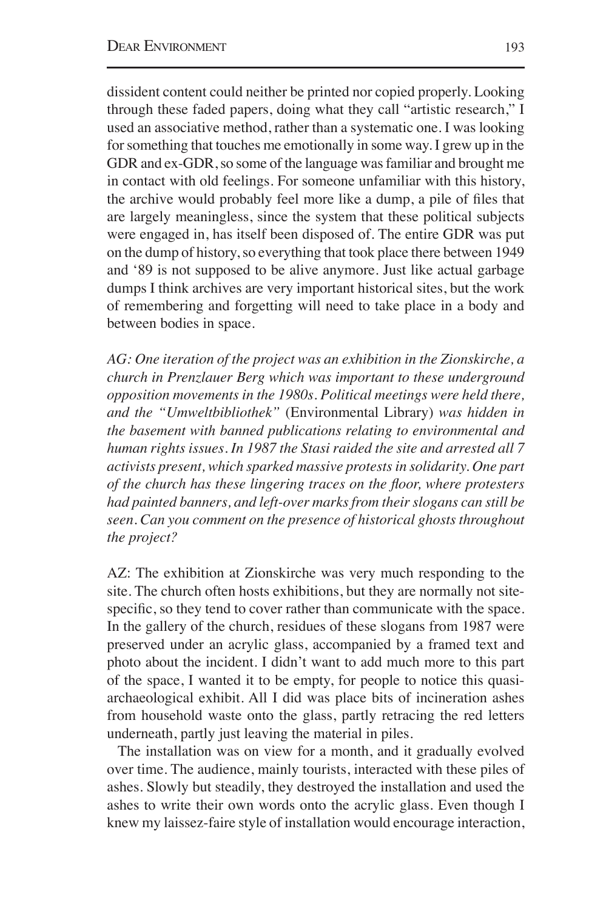dissident content could neither be printed nor copied properly. Looking through these faded papers, doing what they call "artistic research," I used an associative method, rather than a systematic one. I was looking for something that touches me emotionally in some way. I grew up in the GDR and ex-GDR, so some of the language was familiar and brought me in contact with old feelings. For someone unfamiliar with this history, the archive would probably feel more like a dump, a pile of files that are largely meaningless, since the system that these political subjects were engaged in, has itself been disposed of. The entire GDR was put on the dump of history, so everything that took place there between 1949 and '89 is not supposed to be alive anymore. Just like actual garbage dumps I think archives are very important historical sites, but the work of remembering and forgetting will need to take place in a body and between bodies in space.

*AG: One iteration of the project was an exhibition in the Zionskirche, a church in Prenzlauer Berg which was important to these underground opposition movements in the 1980s. Political meetings were held there, and the "Umweltbibliothek"* (Environmental Library) *was hidden in the basement with banned publications relating to environmental and human rights issues. In 1987 the Stasi raided the site and arrested all 7 activists present, which sparked massive protests in solidarity. One part of the church has these lingering traces on the floor, where protesters had painted banners, and left-over marks from their slogans can still be seen. Can you comment on the presence of historical ghosts throughout the project?*

AZ: The exhibition at Zionskirche was very much responding to the site. The church often hosts exhibitions, but they are normally not sitespecific, so they tend to cover rather than communicate with the space. In the gallery of the church, residues of these slogans from 1987 were preserved under an acrylic glass, accompanied by a framed text and photo about the incident. I didn't want to add much more to this part of the space, I wanted it to be empty, for people to notice this quasiarchaeological exhibit. All I did was place bits of incineration ashes from household waste onto the glass, partly retracing the red letters underneath, partly just leaving the material in piles.

The installation was on view for a month, and it gradually evolved over time. The audience, mainly tourists, interacted with these piles of ashes. Slowly but steadily, they destroyed the installation and used the ashes to write their own words onto the acrylic glass. Even though I knew my laissez-faire style of installation would encourage interaction,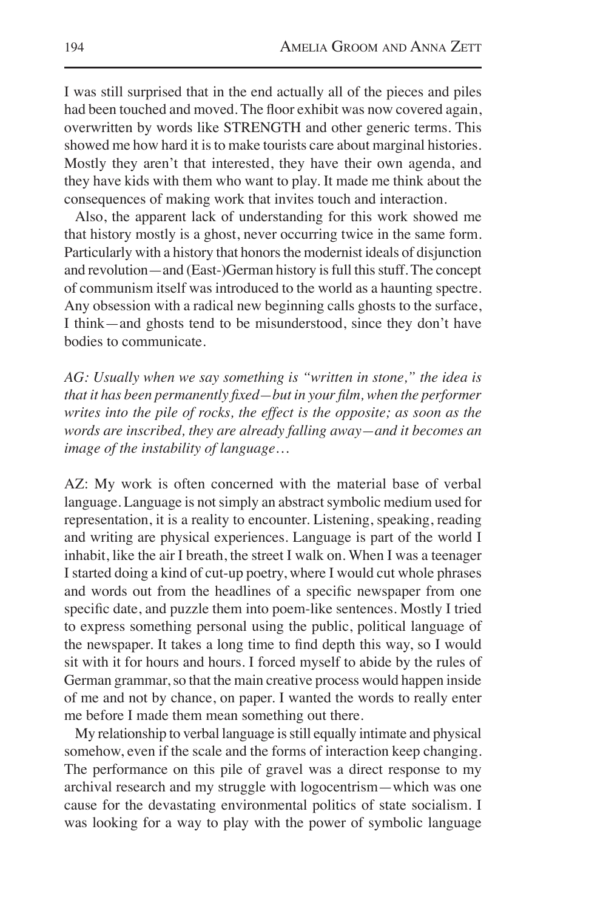I was still surprised that in the end actually all of the pieces and piles had been touched and moved. The floor exhibit was now covered again, overwritten by words like STRENGTH and other generic terms. This showed me how hard it is to make tourists care about marginal histories. Mostly they aren't that interested, they have their own agenda, and they have kids with them who want to play. It made me think about the consequences of making work that invites touch and interaction.

Also, the apparent lack of understanding for this work showed me that history mostly is a ghost, never occurring twice in the same form. Particularly with a history that honors the modernist ideals of disjunction and revolution—and (East-)German history is full this stuff. The concept of communism itself was introduced to the world as a haunting spectre. Any obsession with a radical new beginning calls ghosts to the surface, I think—and ghosts tend to be misunderstood, since they don't have bodies to communicate.

*AG: Usually when we say something is "written in stone," the idea is that it has been permanently fixed—but in your film, when the performer writes into the pile of rocks, the effect is the opposite; as soon as the words are inscribed, they are already falling away—and it becomes an image of the instability of language…*

AZ: My work is often concerned with the material base of verbal language. Language is not simply an abstract symbolic medium used for representation, it is a reality to encounter. Listening, speaking, reading and writing are physical experiences. Language is part of the world I inhabit, like the air I breath, the street I walk on. When I was a teenager I started doing a kind of cut-up poetry, where I would cut whole phrases and words out from the headlines of a specific newspaper from one specific date, and puzzle them into poem-like sentences. Mostly I tried to express something personal using the public, political language of the newspaper. It takes a long time to find depth this way, so I would sit with it for hours and hours. I forced myself to abide by the rules of German grammar, so that the main creative process would happen inside of me and not by chance, on paper. I wanted the words to really enter me before I made them mean something out there.

My relationship to verbal language is still equally intimate and physical somehow, even if the scale and the forms of interaction keep changing. The performance on this pile of gravel was a direct response to my archival research and my struggle with logocentrism—which was one cause for the devastating environmental politics of state socialism. I was looking for a way to play with the power of symbolic language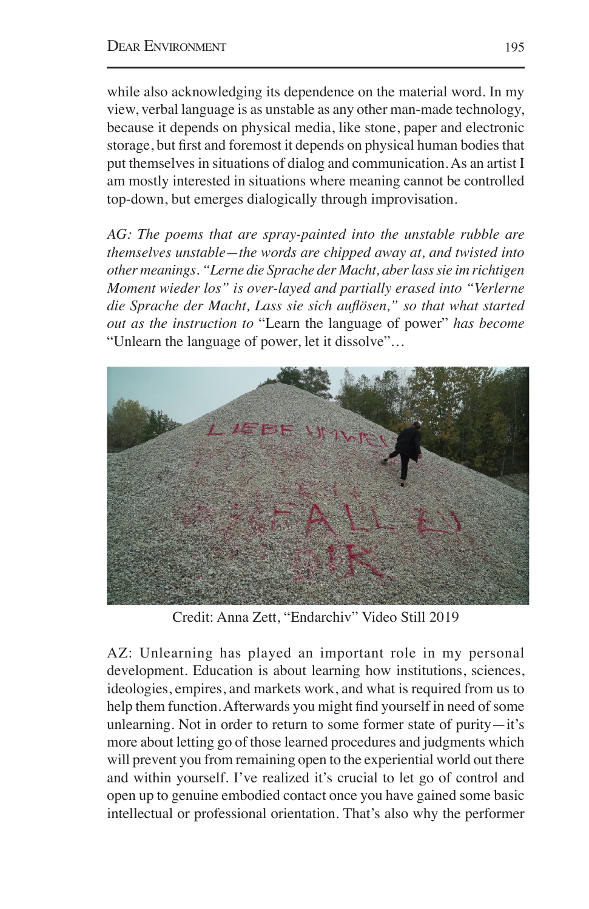while also acknowledging its dependence on the material word. In my view, verbal language is as unstable as any other man-made technology, because it depends on physical media, like stone, paper and electronic storage, but first and foremost it depends on physical human bodies that put themselves in situations of dialog and communication. As an artist I am mostly interested in situations where meaning cannot be controlled top-down, but emerges dialogically through improvisation.

*AG: The poems that are spray-painted into the unstable rubble are themselves unstable—the words are chipped away at, and twisted into other meanings. "Lerne die Sprache der Macht, aber lass sie im richtigen Moment wieder los" is over-layed and partially erased into "Verlerne die Sprache der Macht, Lass sie sich auflösen," so that what started out as the instruction to* "Learn the language of power" *has become*  "Unlearn the language of power, let it dissolve"*…* 



Credit: Anna Zett, "Endarchiv" Video Still 2019

AZ: Unlearning has played an important role in my personal development. Education is about learning how institutions, sciences, ideologies, empires, and markets work, and what is required from us to help them function. Afterwards you might find yourself in need of some unlearning. Not in order to return to some former state of purity—it's more about letting go of those learned procedures and judgments which will prevent you from remaining open to the experiential world out there and within yourself. I've realized it's crucial to let go of control and open up to genuine embodied contact once you have gained some basic intellectual or professional orientation. That's also why the performer